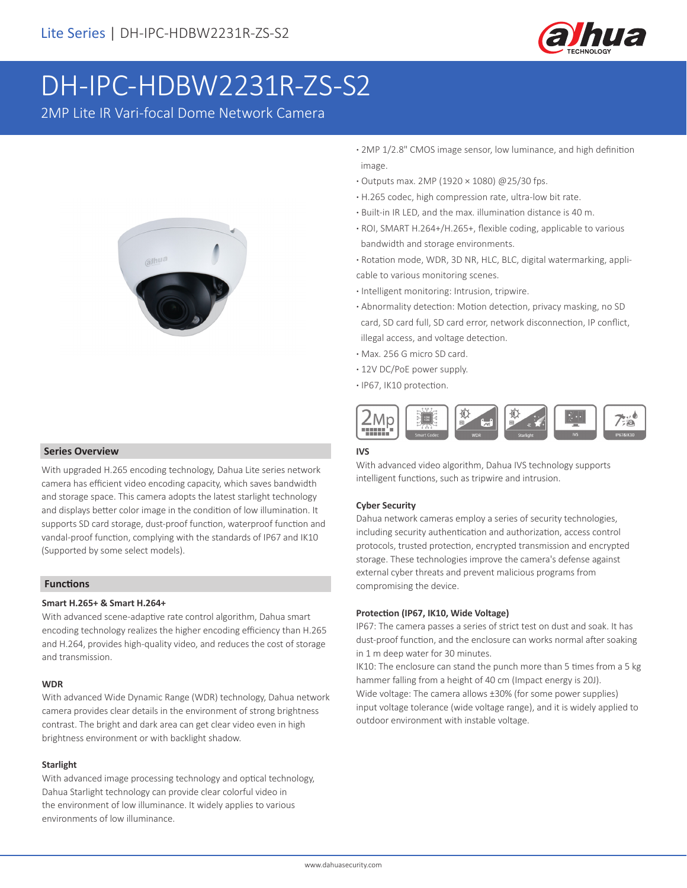

# DH-IPC-HDBW2231R-ZS-S2

2MP Lite IR Vari-focal Dome Network Camera



#### **Series Overview**

With upgraded H.265 encoding technology, Dahua Lite series network camera has efficient video encoding capacity, which saves bandwidth and storage space. This camera adopts the latest starlight technology and displays better color image in the condition of low illumination. It supports SD card storage, dust-proof function, waterproof function and vandal-proof function, complying with the standards of IP67 and IK10 (Supported by some select models).

#### **Functions**

#### **Smart H.265+ & Smart H.264+**

With advanced scene-adaptive rate control algorithm, Dahua smart encoding technology realizes the higher encoding efficiency than H.265 and H.264, provides high-quality video, and reduces the cost of storage and transmission.

#### **WDR**

With advanced Wide Dynamic Range (WDR) technology, Dahua network camera provides clear details in the environment of strong brightness contrast. The bright and dark area can get clear video even in high brightness environment or with backlight shadow.

#### **Starlight**

With advanced image processing technology and optical technology, Dahua Starlight technology can provide clear colorful video in the environment of low illuminance. It widely applies to various environments of low illuminance.

- **·** 2MP 1/2.8" CMOS image sensor, low luminance, and high definition image.
- **·** Outputs max. 2MP (1920 × 1080) @25/30 fps.
- **·** H.265 codec, high compression rate, ultra-low bit rate.
- **·** Built-in IR LED, and the max. illumination distance is 40 m.
- **·** ROI, SMART H.264+/H.265+, flexible coding, applicable to various bandwidth and storage environments.
- **·** Rotation mode, WDR, 3D NR, HLC, BLC, digital watermarking, applicable to various monitoring scenes.
- **·** Intelligent monitoring: Intrusion, tripwire.
- **·** Abnormality detection: Motion detection, privacy masking, no SD card, SD card full, SD card error, network disconnection, IP conflict, illegal access, and voltage detection.
- **·** Max. 256 G micro SD card.
- **·** 12V DC/PoE power supply.
- **·** IP67, IK10 protection.



#### **IVS**

With advanced video algorithm, Dahua IVS technology supports intelligent functions, such as tripwire and intrusion.

#### **Cyber Security**

Dahua network cameras employ a series of security technologies, including security authentication and authorization, access control protocols, trusted protection, encrypted transmission and encrypted storage. These technologies improve the camera's defense against external cyber threats and prevent malicious programs from compromising the device.

#### **Protection (IP67, IK10, Wide Voltage)**

IP67: The camera passes a series of strict test on dust and soak. It has dust-proof function, and the enclosure can works normal after soaking in 1 m deep water for 30 minutes.

IK10: The enclosure can stand the punch more than 5 times from a 5 kg hammer falling from a height of 40 cm (Impact energy is 20J). Wide voltage: The camera allows ±30% (for some power supplies) input voltage tolerance (wide voltage range), and it is widely applied to outdoor environment with instable voltage.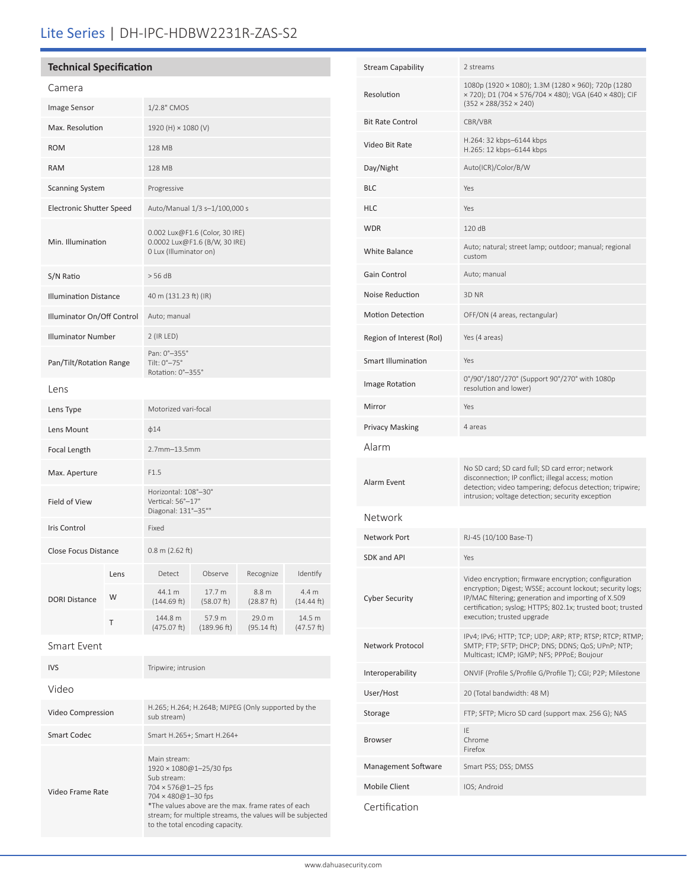## Lite Series | DH-IPC-HDBW2231R-ZAS-S2

### **Technical Specification**

| Camera                          |      |                                                                                           |                       |                      |                      |  |
|---------------------------------|------|-------------------------------------------------------------------------------------------|-----------------------|----------------------|----------------------|--|
| Image Sensor                    |      | 1/2.8" CMOS                                                                               |                       |                      |                      |  |
| Max. Resolution                 |      | 1920 (H) × 1080 (V)                                                                       |                       |                      |                      |  |
| <b>ROM</b>                      |      | 128 MB                                                                                    |                       |                      |                      |  |
| <b>RAM</b>                      |      | <b>128 MB</b>                                                                             |                       |                      |                      |  |
| <b>Scanning System</b>          |      | Progressive                                                                               |                       |                      |                      |  |
| <b>Electronic Shutter Speed</b> |      | Auto/Manual 1/3 s-1/100,000 s                                                             |                       |                      |                      |  |
| Min. Illumination               |      | 0.002 Lux@F1.6 (Color, 30 IRE)<br>0.0002 Lux@F1.6 (B/W, 30 IRE)<br>0 Lux (Illuminator on) |                       |                      |                      |  |
| S/N Ratio                       |      | > 56 dB                                                                                   |                       |                      |                      |  |
| <b>Illumination Distance</b>    |      | 40 m (131.23 ft) (IR)                                                                     |                       |                      |                      |  |
| Illuminator On/Off Control      |      | Auto; manual                                                                              |                       |                      |                      |  |
| <b>Illuminator Number</b>       |      | 2 (IR LED)                                                                                |                       |                      |                      |  |
| Pan/Tilt/Rotation Range         |      | Pan: 0°-355°<br>Tilt: 0°-75°<br>Rotation: 0°-355°                                         |                       |                      |                      |  |
| Lens                            |      |                                                                                           |                       |                      |                      |  |
| Lens Type                       |      | Motorized vari-focal                                                                      |                       |                      |                      |  |
| Lens Mount                      |      | $\phi$ 14                                                                                 |                       |                      |                      |  |
| Focal Length                    |      | 2.7mm-13.5mm                                                                              |                       |                      |                      |  |
| Max. Aperture                   |      | F1.5                                                                                      |                       |                      |                      |  |
| Field of View                   |      | Horizontal: 108°-30°<br>Vertical: 56°-17°<br>Diagonal: 131°-35°"                          |                       |                      |                      |  |
| <b>Iris Control</b>             |      | Fixed                                                                                     |                       |                      |                      |  |
| <b>Close Focus Distance</b>     |      | $0.8$ m (2.62 ft)                                                                         |                       |                      |                      |  |
| <b>DORI Distance</b>            | Lens | Detect                                                                                    | Observe               | Recognize            | Identify             |  |
|                                 | W    | 44.1 m<br>(144.69 ft)                                                                     | 17.7 m<br>(58.07 ft)  | 8.8 m<br>(28.87 ft)  | 4.4 m<br>(14.44 ft)  |  |
|                                 | т    | 144.8 m<br>(475.07 ft)                                                                    | 57.9 m<br>(189.96 ft) | 29.0 m<br>(95.14 ft) | 14.5 m<br>(47.57 ft) |  |
| Smart Event                     |      |                                                                                           |                       |                      |                      |  |
|                                 |      |                                                                                           |                       |                      |                      |  |

| <b>DORI Distance</b> | W | 44.1 m<br>(144.69 ft)                                                                                                                                                                                                           | 17.7 m<br>(58.07 ft)  | 8.8 <sub>m</sub><br>(28.87 ft) | 4.4 m<br>$(14.44 \text{ ft})$ |  |
|----------------------|---|---------------------------------------------------------------------------------------------------------------------------------------------------------------------------------------------------------------------------------|-----------------------|--------------------------------|-------------------------------|--|
|                      | T | 144.8 m<br>(475.07 ft)                                                                                                                                                                                                          | 57.9 m<br>(189.96 ft) | 29.0 m<br>(95.14 ft)           | 14.5 m<br>(47.57 ft)          |  |
| Smart Event          |   |                                                                                                                                                                                                                                 |                       |                                |                               |  |
| <b>IVS</b>           |   | Tripwire; intrusion                                                                                                                                                                                                             |                       |                                |                               |  |
| Video                |   |                                                                                                                                                                                                                                 |                       |                                |                               |  |
| Video Compression    |   | H.265; H.264; H.264B; MJPEG (Only supported by the<br>sub stream)                                                                                                                                                               |                       |                                |                               |  |
| <b>Smart Codec</b>   |   | Smart H.265+; Smart H.264+                                                                                                                                                                                                      |                       |                                |                               |  |
| Video Frame Rate     |   | Main stream:<br>1920 × 1080@1-25/30 fps<br>Sub stream:<br>$704 \times 576@1 - 25$ fps<br>704 × 480@1-30 fps<br>*The values above are the max, frame rates of each<br>stream; for multiple streams, the values will be subjected |                       |                                |                               |  |

to the total encoding capacity.

| <b>Stream Capability</b>  | 2 streams                                                                                                                                                                                                                                                             |
|---------------------------|-----------------------------------------------------------------------------------------------------------------------------------------------------------------------------------------------------------------------------------------------------------------------|
| Resolution                | 1080p (1920 × 1080); 1.3M (1280 × 960); 720p (1280<br>× 720); D1 (704 × 576/704 × 480); VGA (640 × 480); CIF<br>$(352 \times 288/352 \times 240)$                                                                                                                     |
| <b>Bit Rate Control</b>   | CBR/VBR                                                                                                                                                                                                                                                               |
| Video Bit Rate            | H.264: 32 kbps-6144 kbps<br>H.265: 12 kbps-6144 kbps                                                                                                                                                                                                                  |
| Day/Night                 | Auto(ICR)/Color/B/W                                                                                                                                                                                                                                                   |
| <b>BLC</b>                | Yes                                                                                                                                                                                                                                                                   |
| HLC                       | Yes                                                                                                                                                                                                                                                                   |
| <b>WDR</b>                | 120 dB                                                                                                                                                                                                                                                                |
| <b>White Balance</b>      | Auto; natural; street lamp; outdoor; manual; regional<br>custom                                                                                                                                                                                                       |
| Gain Control              | Auto; manual                                                                                                                                                                                                                                                          |
| Noise Reduction           | 3D NR                                                                                                                                                                                                                                                                 |
| <b>Motion Detection</b>   | OFF/ON (4 areas, rectangular)                                                                                                                                                                                                                                         |
| Region of Interest (RoI)  | Yes (4 areas)                                                                                                                                                                                                                                                         |
| <b>Smart Illumination</b> | Yes                                                                                                                                                                                                                                                                   |
| Image Rotation            | 0°/90°/180°/270° (Support 90°/270° with 1080p<br>resolution and lower)                                                                                                                                                                                                |
| Mirror                    | Yes                                                                                                                                                                                                                                                                   |
| <b>Privacy Masking</b>    | 4 areas                                                                                                                                                                                                                                                               |
| Alarm                     |                                                                                                                                                                                                                                                                       |
| Alarm Event               | No SD card; SD card full; SD card error; network<br>disconnection; IP conflict; illegal access; motion<br>detection; video tampering; defocus detection; tripwire;<br>intrusion; voltage detection; security exception                                                |
| Network                   |                                                                                                                                                                                                                                                                       |
| Network Port              | RJ-45 (10/100 Base-T)                                                                                                                                                                                                                                                 |
| SDK and API               | Yes                                                                                                                                                                                                                                                                   |
| <b>Cyber Security</b>     | Video encryption; firmware encryption; configuration<br>encryption; Digest; WSSE; account lockout; security logs;<br>IP/MAC filtering; generation and importing of X.509<br>certification; syslog; HTTPS; 802.1x; trusted boot; trusted<br>execution; trusted upgrade |
| Network Protocol          | IPv4; IPv6; HTTP; TCP; UDP; ARP; RTP; RTSP; RTCP; RTMP;<br>SMTP; FTP; SFTP; DHCP; DNS; DDNS; QoS; UPnP; NTP;<br>Multicast; ICMP; IGMP; NFS; PPPoE; Boujour                                                                                                            |
| Interoperability          | ONVIF (Profile S/Profile G/Profile T); CGI; P2P; Milestone                                                                                                                                                                                                            |
| User/Host                 | 20 (Total bandwidth: 48 M)                                                                                                                                                                                                                                            |
| Storage                   | FTP; SFTP; Micro SD card (support max. 256 G); NAS                                                                                                                                                                                                                    |
| <b>Browser</b>            | ΙE<br>Chrome<br>Firefox                                                                                                                                                                                                                                               |
| Management Software       | Smart PSS; DSS; DMSS                                                                                                                                                                                                                                                  |
| Mobile Client             | IOS; Android                                                                                                                                                                                                                                                          |
|                           |                                                                                                                                                                                                                                                                       |

Certification